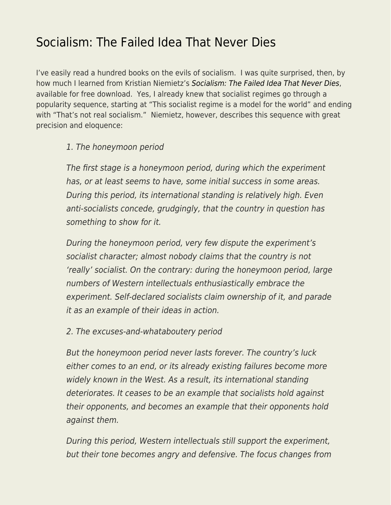## [Socialism: The Failed Idea That Never Dies](https://everything-voluntary.com/socialism-the-failed-idea-that-never-dies)

I've easily read a hundred books on the evils of socialism. I was quite surprised, then, by how much I learned from Kristian Niemietz's [Socialism: The Failed Idea That Never Dies](https://iea.org.uk/wp-content/uploads/2019/02/Niemietz-Socialism.pdf), available for free download. Yes, I already knew that socialist regimes go through a popularity sequence, starting at "This socialist regime is a model for the world" and ending with "That's not real socialism." Niemietz, however, describes this sequence with great precision and eloquence:

## 1. The honeymoon period

The first stage is a honeymoon period, during which the experiment has, or at least seems to have, some initial success in some areas. During this period, its international standing is relatively high. Even anti-socialists concede, grudgingly, that the country in question has something to show for it.

During the honeymoon period, very few dispute the experiment's socialist character; almost nobody claims that the country is not 'really' socialist. On the contrary: during the honeymoon period, large numbers of Western intellectuals enthusiastically embrace the experiment. Self-declared socialists claim ownership of it, and parade it as an example of their ideas in action.

2. The excuses-and-whataboutery period

But the honeymoon period never lasts forever. The country's luck either comes to an end, or its already existing failures become more widely known in the West. As a result, its international standing deteriorates. It ceases to be an example that socialists hold against their opponents, and becomes an example that their opponents hold against them.

During this period, Western intellectuals still support the experiment, but their tone becomes angry and defensive. The focus changes from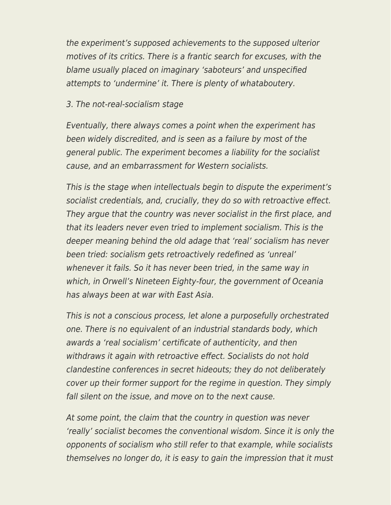the experiment's supposed achievements to the supposed ulterior motives of its critics. There is a frantic search for excuses, with the blame usually placed on imaginary 'saboteurs' and unspecified attempts to 'undermine' it. There is plenty of whataboutery.

## 3. The not-real-socialism stage

Eventually, there always comes a point when the experiment has been widely discredited, and is seen as a failure by most of the general public. The experiment becomes a liability for the socialist cause, and an embarrassment for Western socialists.

This is the stage when intellectuals begin to dispute the experiment's socialist credentials, and, crucially, they do so with retroactive effect. They argue that the country was never socialist in the first place, and that its leaders never even tried to implement socialism. This is the deeper meaning behind the old adage that 'real' socialism has never been tried: socialism gets retroactively redefined as 'unreal' whenever it fails. So it has never been tried, in the same way in which, in Orwell's Nineteen Eighty-four, the government of Oceania has always been at war with East Asia.

This is not a conscious process, let alone a purposefully orchestrated one. There is no equivalent of an industrial standards body, which awards a 'real socialism' certificate of authenticity, and then withdraws it again with retroactive effect. Socialists do not hold clandestine conferences in secret hideouts; they do not deliberately cover up their former support for the regime in question. They simply fall silent on the issue, and move on to the next cause.

At some point, the claim that the country in question was never 'really' socialist becomes the conventional wisdom. Since it is only the opponents of socialism who still refer to that example, while socialists themselves no longer do, it is easy to gain the impression that it must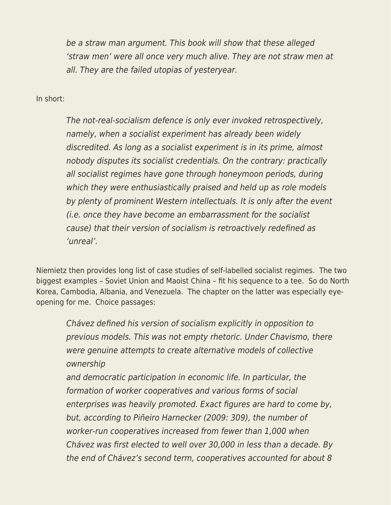be a straw man argument. This book will show that these alleged 'straw men' were all once very much alive. They are not straw men at all. They are the failed utopias of yesteryear.

In short:

The not-real-socialism defence is only ever invoked retrospectively, namely, when a socialist experiment has already been widely discredited. As long as a socialist experiment is in its prime, almost nobody disputes its socialist credentials. On the contrary: practically all socialist regimes have gone through honeymoon periods, during which they were enthusiastically praised and held up as role models by plenty of prominent Western intellectuals. It is only after the event (i.e. once they have become an embarrassment for the socialist cause) that their version of socialism is retroactively redefined as 'unreal'.

Niemietz then provides long list of case studies of self-labelled socialist regimes. The two biggest examples – Soviet Union and Maoist China – fit his sequence to a tee. So do North Korea, Cambodia, Albania, and Venezuela. The chapter on the latter was especially eyeopening for me. Choice passages:

Chávez defined his version of socialism explicitly in opposition to previous models. This was not empty rhetoric. Under Chavismo, there were genuine attempts to create alternative models of collective ownership

and democratic participation in economic life. In particular, the formation of worker cooperatives and various forms of social enterprises was heavily promoted. Exact figures are hard to come by, but, according to Piñeiro Harnecker (2009: 309), the number of worker-run cooperatives increased from fewer than 1,000 when Chávez was first elected to well over 30,000 in less than a decade. By the end of Chávez's second term, cooperatives accounted for about 8